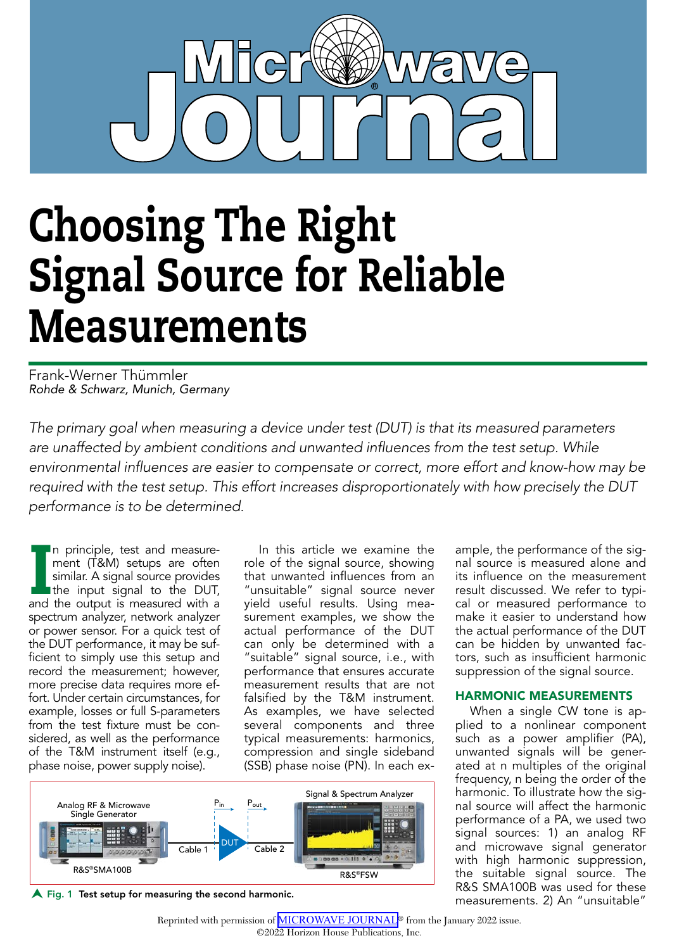# Choosing The Right Signal Source for Reliable Measurements

Frank-Werner Thümmler *Rohde & Schwarz, Munich, Germany*

*The primary goal when measuring a device under test (DUT) is that its measured parameters are unaffected by ambient conditions and unwanted influences from the test setup. While environmental influences are easier to compensate or correct, more effort and know-how may be required with the test setup. This effort increases disproportionately with how precisely the DUT performance is to be determined.*

In principle, test and measure-<br>ment (T&M) setups are often<br>similar. A signal source provides<br>the input signal to the DUT,<br>and the output is measured with a n principle, test and measurement (T&M) setups are often similar. A signal source provides the input signal to the DUT, spectrum analyzer, network analyzer or power sensor. For a quick test of the DUT performance, it may be sufficient to simply use this setup and record the measurement; however, more precise data requires more effort. Under certain circumstances, for example, losses or full S-parameters from the test fixture must be considered, as well as the performance of the T&M instrument itself (e.g., phase noise, power supply noise).

In this article we examine the role of the signal source, showing that unwanted influences from an "unsuitable" signal source never yield useful results. Using measurement examples, we show the actual performance of the DUT can only be determined with a "suitable" signal source, i.e., with performance that ensures accurate measurement results that are not falsified by the T&M instrument. As examples, we have selected several components and three typical measurements: harmonics, compression and single sideband (SSB) phase noise (PN). In each ex-



 $\bigwedge$  Fig. 1 Test setup for measuring the second harmonic.

harmonic. To illustrate how the signal source will affect the harmonic performance of a PA, we used two signal sources: 1) an analog RF and microwave signal generator with high harmonic suppression, the suitable signal source. The R&S SMA100B was used for these measurements. 2) An "unsuitable"

ample, the performance of the signal source is measured alone and its influence on the measurement result discussed. We refer to typical or measured performance to make it easier to understand how

the actual performance of the DUT can be hidden by unwanted factors, such as insufficient harmonic suppression of the signal source. HARMONIC MEASUREMENTS When a single CW tone is applied to a nonlinear component such as a power amplifier (PA), unwanted signals will be generated at n multiples of the original frequency, n being the order of the

Reprinted with permission of **[MICROWAVE JOURNAL](http://mwjournal.com)®** from the January 2022 issue. ©2022 Horizon House Publications, Inc.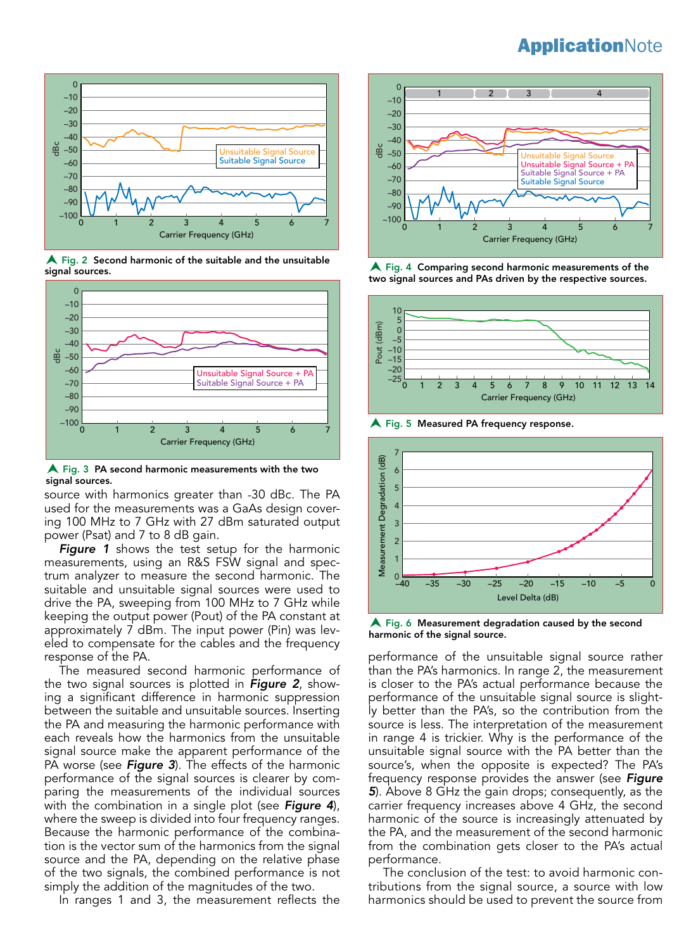

 $\bigwedge$  Fig. 2 Second harmonic of the suitable and the unsuitable signal sources.



 $\bigwedge$  Fig. 3 PA second harmonic measurements with the two signal sources.

source with harmonics greater than -30 dBc. The PA used for the measurements was a GaAs design covering 100 MHz to 7 GHz with 27 dBm saturated output power (Psat) and 7 to 8 dB gain.

*Figure 1* shows the test setup for the harmonic measurements, using an R&S FSW signal and spectrum analyzer to measure the second harmonic. The suitable and unsuitable signal sources were used to drive the PA, sweeping from 100 MHz to 7 GHz while keeping the output power (Pout) of the PA constant at approximately 7 dBm. The input power (Pin) was leveled to compensate for the cables and the frequency response of the PA.

The measured second harmonic performance of the two signal sources is plotted in *Figure 2*, showing a significant difference in harmonic suppression between the suitable and unsuitable sources. Inserting the PA and measuring the harmonic performance with each reveals how the harmonics from the unsuitable signal source make the apparent performance of the PA worse (see *Figure 3*). The effects of the harmonic performance of the signal sources is clearer by comparing the measurements of the individual sources with the combination in a single plot (see *Figure 4*), where the sweep is divided into four frequency ranges. Because the harmonic performance of the combination is the vector sum of the harmonics from the signal source and the PA, depending on the relative phase of the two signals, the combined performance is not simply the addition of the magnitudes of the two.

In ranges 1 and 3, the measurement reflects the



A Fig. 4 Comparing second harmonic measurements of the two signal sources and PAs driven by the respective sources.



A Fig. 5 Measured PA frequency response.



 $\bigwedge$  Fig. 6 Measurement degradation caused by the second harmonic of the signal source.

performance of the unsuitable signal source rather than the PA's harmonics. In range 2, the measurement is closer to the PA's actual performance because the performance of the unsuitable signal source is slightly better than the PA's, so the contribution from the source is less. The interpretation of the measurement in range 4 is trickier. Why is the performance of the unsuitable signal source with the PA better than the source's, when the opposite is expected? The PA's frequency response provides the answer (see *Figure 5*). Above 8 GHz the gain drops; consequently, as the carrier frequency increases above 4 GHz, the second harmonic of the source is increasingly attenuated by the PA, and the measurement of the second harmonic from the combination gets closer to the PA's actual performance.

The conclusion of the test: to avoid harmonic contributions from the signal source, a source with low harmonics should be used to prevent the source from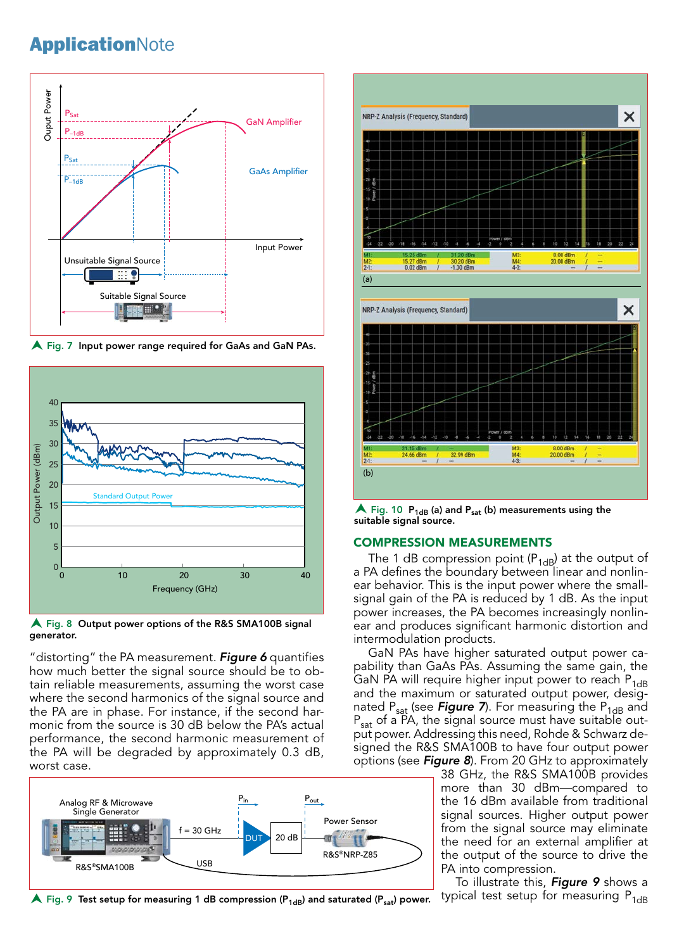

**A** Fig. 7 Input power range required for GaAs and GaN PAs.



A Fig. 8 Output power options of the R&S SMA100B signal generator.

"distorting" the PA measurement. *Figure 6* quantifies how much better the signal source should be to obtain reliable measurements, assuming the worst case where the second harmonics of the signal source and the PA are in phase. For instance, if the second harmonic from the source is 30 dB below the PA's actual performance, the second harmonic measurement of the PA will be degraded by approximately 0.3 dB, worst case.



 $\blacktriangle$  Fig. 9 Test setup for measuring 1 dB compression (P<sub>1dB</sub>) and saturated (P<sub>sat</sub>) power.



 $\blacktriangle$  Fig. 10  $P_{1dB}$  (a) and  $P_{sat}$  (b) measurements using the suitable signal source.

### COMPRESSION MEASUREMENTS

The 1 dB compression point ( $P_{1dB}$ ) at the output of a PA defines the boundary between linear and nonlinear behavior. This is the input power where the smallsignal gain of the PA is reduced by 1 dB. As the input power increases, the PA becomes increasingly nonlinear and produces significant harmonic distortion and intermodulation products.

GaN PAs have higher saturated output power capability than GaAs PAs. Assuming the same gain, the GaN PA will require higher input power to reach  $P_{1dB}$ and the maximum or saturated output power, designated P<sub>sat</sub> (see **Figure 7**). For measuring the P<sub>1dB</sub> and P<sub>sat</sub> of a PA, the signal source must have suitable output power. Addressing this need, Rohde & Schwarz designed the R&S SMA100B to have four output power options (see *Figure 8*). From 20 GHz to approximately

38 GHz, the R&S SMA100B provides more than 30 dBm—compared to the 16 dBm available from traditional signal sources. Higher output power from the signal source may eliminate the need for an external amplifier at the output of the source to drive the PA into compression.

To illustrate this, *Figure 9* shows a typical test setup for measuring  $P_{1dB}$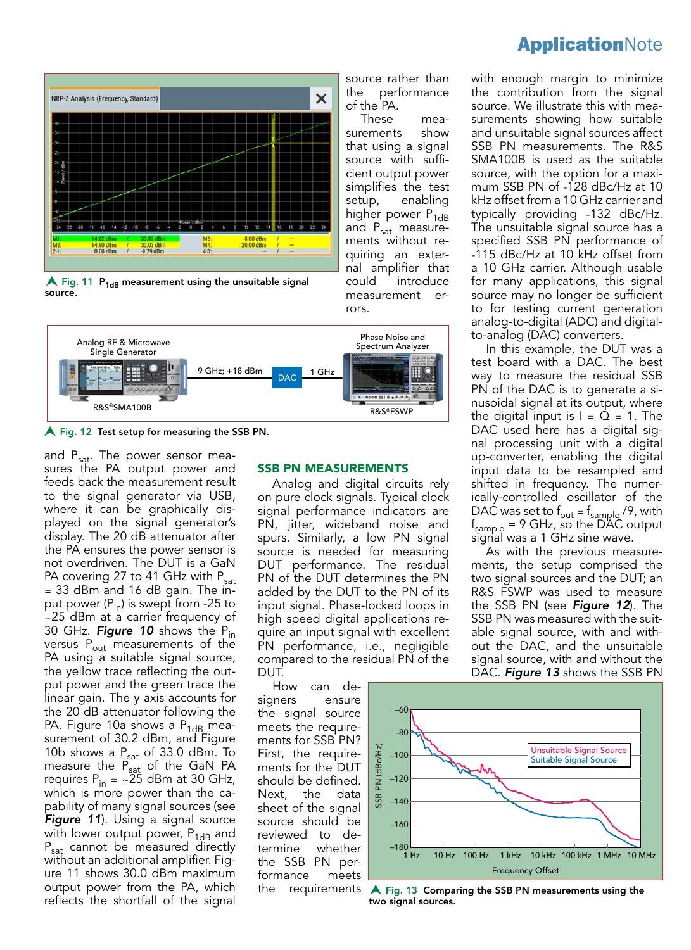

 $\blacktriangle$  Fig. 11 P<sub>1dB</sub> measurement using the unsuitable signal source.



A Fig. 12 Test setup for measuring the SSB PN.

and P<sub>sat</sub>. The power sensor measures the PA output power and feeds back the measurement result to the signal generator via USB, where it can be graphically displayed on the signal generator's display. The 20 dB attenuator after the PA ensures the power sensor is not overdriven. The DUT is a GaN PA covering 27 to 41 GHz with  $P_{sat}$ = 33 dBm and 16 dB gain. The input power  $(P_{in})$  is swept from -25 to +25 dBm at a carrier frequency of 30 GHz. *Figure 10* shows the Pin versus  $P_{out}$  measurements of the PA using a suitable signal source, the yellow trace reflecting the output power and the green trace the linear gain. The y axis accounts for the 20 dB attenuator following the PA. Figure 10a shows a  $P_{1dB}$  measurement of 30.2 dBm, and Figure 10b shows a  $P_{sat}$  of 33.0 dBm. To measure the  $P_{sat}$  of the GaN PA requires  $P_{in} = \sim 25$  dBm at 30 GHz, which is more power than the capability of many signal sources (see *Figure 11*). Using a signal source with lower output power,  $P_{1dB}$  and P<sub>sat</sub> cannot be measured directly without an additional amplifier. Figure 11 shows 30.0 dBm maximum output power from the PA, which reflects the shortfall of the signal

#### SSB PN MEASUREMENTS

rors

source rather than the performance

These measurements show that using a signal source with sufficient output power simplifies the test setup, enabling higher power  $P_{1dB}$ and  $P_{sat}$  measurements without requiring an external amplifier that could introduce measurement er-

of the PA.

Analog and digital circuits rely on pure clock signals. Typical clock signal performance indicators are PN, jitter, wideband noise and spurs. Similarly, a low PN signal source is needed for measuring DUT performance. The residual PN of the DUT determines the PN added by the DUT to the PN of its input signal. Phase-locked loops in high speed digital applications require an input signal with excellent PN performance, i.e., negligible compared to the residual PN of the DUT.

SSB PN (dBc/Hz)

(dBc/Hz  $\overline{a}$ SSB

How can designers ensure the signal source meets the requirements for SSB PN? First, the requirements for the DUT should be defined. Next, the data sheet of the signal source should be reviewed to determine whether the SSB PN performance meets



Frequency Offset

the requirements A Fig. 13 Comparing the SSB PN measurements using the two signal sources.

with enough margin to minimize the contribution from the signal source. We illustrate this with measurements showing how suitable and unsuitable signal sources affect SSB PN measurements. The R&S SMA100B is used as the suitable source, with the option for a maximum SSB PN of -128 dBc/Hz at 10 kHz offset from a 10 GHz carrier and typically providing -132 dBc/Hz. The unsuitable signal source has a specified SSB PN performance of -115 dBc/Hz at 10 kHz offset from a 10 GHz carrier. Although usable for many applications, this signal source may no longer be sufficient to for testing current generation analog-to-digital (ADC) and digital-

to-analog (DAC) converters. In this example, the DUT was a test board with a DAC. The best way to measure the residual SSB PN of the DAC is to generate a sinusoidal signal at its output, where the digital input is  $I = Q = 1$ . The DAC used here has a digital signal processing unit with a digital up-converter, enabling the digital input data to be resampled and shifted in frequency. The numerically-controlled oscillator of the DAC was set to  $f_{\text{out}} = f_{\text{sample}}/9$ , with fsample = 9 GHz, so the DAC output signal was a 1 GHz sine wave.

As with the previous measurements, the setup comprised the two signal sources and the DUT; an R&S FSWP was used to measure the SSB PN (see *Figure 12*). The SSB PN was measured with the suitable signal source, with and without the DAC, and the unsuitable signal source, with and without the